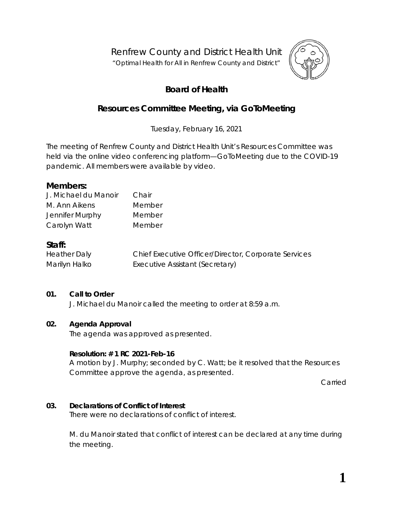Renfrew County and District Health Unit

"*Optimal Health for All in Renfrew County and District"*



# **Board of Health**

# **Resources Committee Meeting, via** *GoToMeeting*

Tuesday, February 16, 2021

The meeting of Renfrew County and District Health Unit's Resources Committee was held via the online video conferencing platform—*GoToMeeting* due to the COVID-19 pandemic. All members were available by video.

## **Members:**

| J. Michael du Manoir | Chair  |
|----------------------|--------|
| M. Ann Aikens        | Member |
| Jennifer Murphy      | Member |
| Carolyn Watt         | Member |

# **Staff:**

Heather Daly Chief Executive Officer/Director, Corporate Services Marilyn Halko **Executive Assistant (Secretary)** 

# **01. Call to Order**

J. Michael du Manoir called the meeting to order at 8:59 a.m.

## **02. Agenda Approval**

The agenda was approved as presented.

## **Resolution: # 1 RC 2021-Feb-16**

A motion by J. Murphy; seconded by C. Watt; be it resolved that the Resources Committee approve the agenda, as presented.

Carried

## **03. Declarations of Conflict of Interest**

There were no declarations of conflict of interest.

M. du Manoir stated that conflict of interest can be declared at any time during the meeting.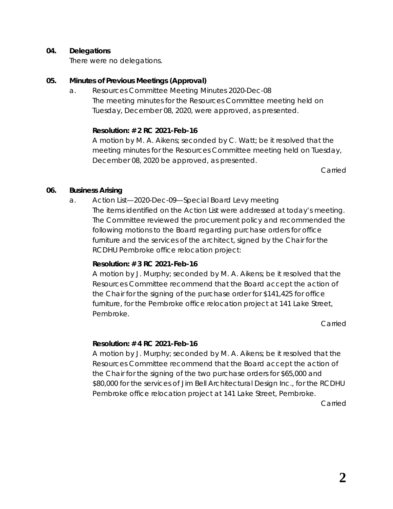#### **04. Delegations**

There were no delegations.

#### **05. Minutes of Previous Meetings (Approval)**

a. Resources Committee Meeting Minutes 2020-Dec-08 The meeting minutes for the Resources Committee meeting held on Tuesday, December 08, 2020, were approved, as presented.

#### **Resolution: # 2 RC 2021-Feb-16**

A motion by M. A. Aikens; seconded by C. Watt; be it resolved that the meeting minutes for the Resources Committee meeting held on Tuesday, December 08, 2020 be approved, as presented.

Carried

#### **06. Business Arising**

a. Action List—2020-Dec-09—Special Board Levy meeting The items identified on the Action List were addressed at today's meeting. The Committee reviewed the procurement policy and recommended the following motions to the Board regarding purchase orders for office furniture and the services of the architect, signed by the Chair for the RCDHU Pembroke office relocation project:

## **Resolution: # 3 RC 2021-Feb-16**

A motion by J. Murphy; seconded by M. A. Aikens; be it resolved that the Resources Committee recommend that the Board accept the action of the Chair for the signing of the purchase order for \$141,425 for office furniture, for the Pembroke office relocation project at 141 Lake Street, Pembroke.

Carried

## **Resolution: # 4 RC 2021-Feb-16**

A motion by J. Murphy; seconded by M. A. Aikens; be it resolved that the Resources Committee recommend that the Board accept the action of the Chair for the signing of the two purchase orders for \$65,000 and \$80,000 for the services of Jim Bell Architectural Design Inc., for the RCDHU Pembroke office relocation project at 141 Lake Street, Pembroke.

Carried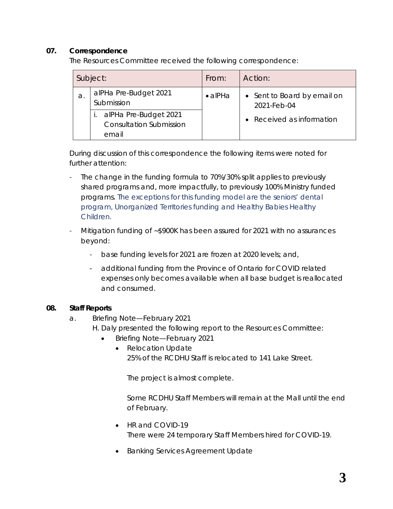## **07. Correspondence**

The Resources Committee received the following correspondence:

|    | Subject:                                                         | From:           | Action:                                    |
|----|------------------------------------------------------------------|-----------------|--------------------------------------------|
| а. | alPHa Pre-Budget 2021<br>Submission                              | $\bullet$ alPHa | • Sent to Board by email on<br>2021-Feb-04 |
|    | alPHa Pre-Budget 2021<br><b>Consultation Submission</b><br>email |                 | • Received as information                  |

During discussion of this correspondence the following items were noted for further attention:

- The change in the funding formula to 70%/30% split applies to previously shared programs and, more impactfully, to previously 100% Ministry funded programs. The exceptions for this funding model are the seniors' dental program, Unorganized Territories funding and Healthy Babies Healthy Children.
- Mitigation funding of ~\$900K has been assured for 2021 with no assurances beyond:
	- base funding levels for 2021 are frozen at 2020 levels; and,
	- additional funding from the Province of Ontario for COVID related expenses only becomes available when all base budget is reallocated and consumed.

## **08. Staff Reports**

- a. Briefing Note—February 2021
	- H. Daly presented the following report to the Resources Committee:
		- Briefing Note—February 2021
			- Relocation Update 25% of the RCDHU Staff is relocated to 141 Lake Street.

The project is almost complete.

Some RCDHU Staff Members will remain at the Mall until the end of February.

- HR and COVID-19 There were 24 temporary Staff Members hired for COVID-19.
- Banking Services Agreement Update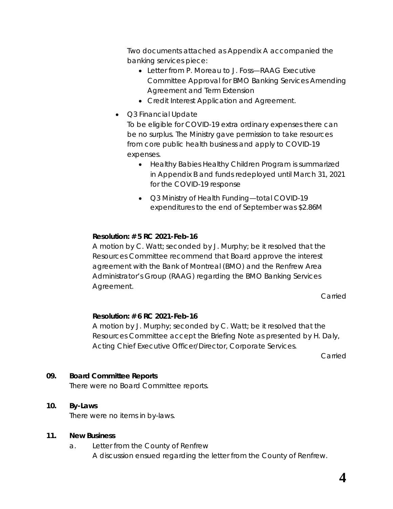Two documents attached as *Appendix A* accompanied the banking services piece:

- Letter from P. Moreau to J. Foss—RAAG Executive Committee Approval for BMO Banking Services Amending Agreement and Term Extension
- Credit Interest Application and Agreement.
- Q3 Financial Update

To be eligible for COVID-19 extra ordinary expenses there can be no surplus. The Ministry gave permission to take resources from core public health business and apply to COVID-19 expenses.

- Healthy Babies Healthy Children Program is summarized in Appendix B and funds redeployed until March 31, 2021 for the COVID-19 response
- Q3 Ministry of Health Funding—total COVID-19 expenditures to the end of September was \$2.86M

## **Resolution: # 5 RC 2021-Feb-16**

A motion by C. Watt; seconded by J. Murphy; be it resolved that the Resources Committee recommend that Board approve the interest agreement with the Bank of Montreal (BMO) and the Renfrew Area Administrator's Group (RAAG) regarding the BMO Banking Services Agreement.

Carried

## **Resolution: # 6 RC 2021-Feb-16**

A motion by J. Murphy; seconded by C. Watt; be it resolved that the Resources Committee accept the Briefing Note as presented by H. Daly, Acting Chief Executive Officer/Director, Corporate Services.

Carried

## **09. Board Committee Reports**

There were no Board Committee reports.

#### **10. By-Laws**

There were no items in by-laws.

#### **11. New Business**

a. Letter from the County of Renfrew A discussion ensued regarding the letter from the County of Renfrew.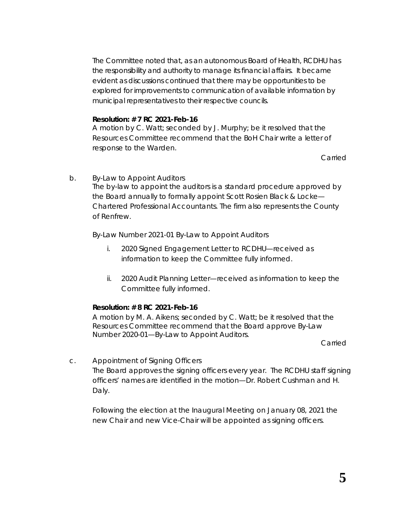The Committee noted that, as an autonomous Board of Health, RCDHU has the responsibility and authority to manage its financial affairs. It became evident as discussions continued that there may be opportunities to be explored for improvements to communication of available information by municipal representatives to their respective councils.

#### **Resolution: # 7 RC 2021-Feb-16**

A motion by C. Watt; seconded by J. Murphy; be it resolved that the Resources Committee recommend that the BoH Chair write a letter of response to the Warden.

Carried

b. By-Law to Appoint Auditors The by-law to appoint the auditors is a standard procedure approved by the Board annually to formally appoint Scott Rosien Black & Locke— Chartered Professional Accountants. The firm also represents the County of Renfrew.

By-Law Number 2021-01 By-Law to Appoint Auditors

- i. 2020 Signed Engagement Letter to RCDHU—received as information to keep the Committee fully informed.
- ii. 2020 Audit Planning Letter—received as information to keep the Committee fully informed.

## **Resolution: # 8 RC 2021-Feb-16**

A motion by M. A. Aikens; seconded by C. Watt; be it resolved that the Resources Committee recommend that the Board approve *By-Law Number 2020-01—By-Law to Appoint Auditors*.

Carried

c. Appointment of Signing Officers The Board approves the signing officers every year. The RCDHU staff signing officers' names are identified in the motion—Dr. Robert Cushman and H. Daly.

Following the election at the Inaugural Meeting on January 08, 2021 the new Chair and new Vice-Chair will be appointed as signing officers.